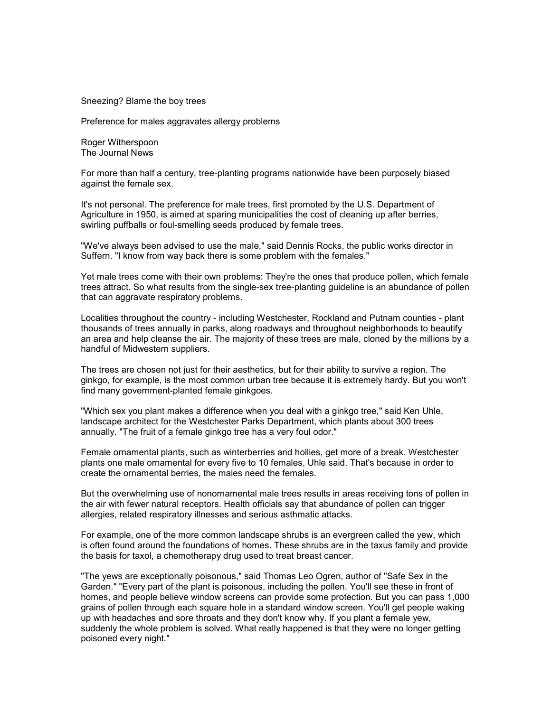Sneezing? Blame the boy trees

Preference for males aggravates allergy problems

Roger Witherspoon The Journal News

For more than half a century, tree-planting programs nationwide have been purposely biased against the female sex.

It's not personal. The preference for male trees, first promoted by the U.S. Department of Agriculture in 1950, is aimed at sparing municipalities the cost of cleaning up after berries, swirling puffballs or foul-smelling seeds produced by female trees.

"We've always been advised to use the male," said Dennis Rocks, the public works director in Suffern. "I know from way back there is some problem with the females."

Yet male trees come with their own problems: They're the ones that produce pollen, which female trees attract. So what results from the single-sex tree-planting guideline is an abundance of pollen that can aggravate respiratory problems.

Localities throughout the country - including Westchester, Rockland and Putnam counties - plant thousands of trees annually in parks, along roadways and throughout neighborhoods to beautify an area and help cleanse the air. The majority of these trees are male, cloned by the millions by a handful of Midwestern suppliers.

The trees are chosen not just for their aesthetics, but for their ability to survive a region. The ginkgo, for example, is the most common urban tree because it is extremely hardy. But you won't find many government-planted female ginkgoes.

"Which sex you plant makes a difference when you deal with a ginkgo tree," said Ken Uhle, landscape architect for the Westchester Parks Department, which plants about 300 trees annually. "The fruit of a female ginkgo tree has a very foul odor."

Female ornamental plants, such as winterberries and hollies, get more of a break. Westchester plants one male ornamental for every five to 10 females, Uhle said. That's because in order to create the ornamental berries, the males need the females.

But the overwhelming use of nonornamental male trees results in areas receiving tons of pollen in the air with fewer natural receptors. Health officials say that abundance of pollen can trigger allergies, related respiratory illnesses and serious asthmatic attacks.

For example, one of the more common landscape shrubs is an evergreen called the yew, which is often found around the foundations of homes. These shrubs are in the taxus family and provide the basis for taxol, a chemotherapy drug used to treat breast cancer.

"The yews are exceptionally poisonous," said Thomas Leo Ogren, author of "Safe Sex in the Garden." "Every part of the plant is poisonous, including the pollen. You'll see these in front of homes, and people believe window screens can provide some protection. But you can pass 1,000 grains of pollen through each square hole in a standard window screen. You'll get people waking up with headaches and sore throats and they don't know why. If you plant a female yew, suddenly the whole problem is solved. What really happened is that they were no longer getting poisoned every night."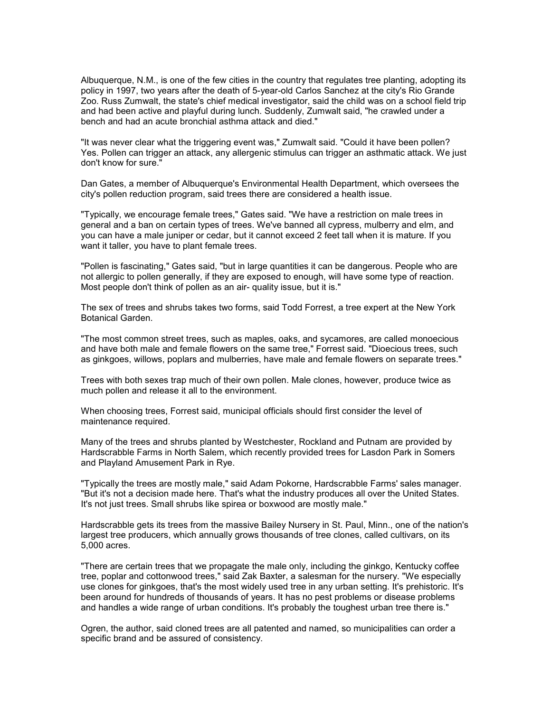Albuquerque, N.M., is one of the few cities in the country that regulates tree planting, adopting its policy in 1997, two years after the death of 5-year-old Carlos Sanchez at the city's Rio Grande Zoo. Russ Zumwalt, the state's chief medical investigator, said the child was on a school field trip and had been active and playful during lunch. Suddenly, Zumwalt said, "he crawled under a bench and had an acute bronchial asthma attack and died."

"It was never clear what the triggering event was," Zumwalt said. "Could it have been pollen? Yes. Pollen can trigger an attack, any allergenic stimulus can trigger an asthmatic attack. We just don't know for sure."

Dan Gates, a member of Albuquerque's Environmental Health Department, which oversees the city's pollen reduction program, said trees there are considered a health issue.

"Typically, we encourage female trees," Gates said. "We have a restriction on male trees in general and a ban on certain types of trees. We've banned all cypress, mulberry and elm, and you can have a male juniper or cedar, but it cannot exceed 2 feet tall when it is mature. If you want it taller, you have to plant female trees.

"Pollen is fascinating," Gates said, "but in large quantities it can be dangerous. People who are not allergic to pollen generally, if they are exposed to enough, will have some type of reaction. Most people don't think of pollen as an air- quality issue, but it is."

The sex of trees and shrubs takes two forms, said Todd Forrest, a tree expert at the New York Botanical Garden.

"The most common street trees, such as maples, oaks, and sycamores, are called monoecious and have both male and female flowers on the same tree," Forrest said. "Dioecious trees, such as ginkgoes, willows, poplars and mulberries, have male and female flowers on separate trees."

Trees with both sexes trap much of their own pollen. Male clones, however, produce twice as much pollen and release it all to the environment.

When choosing trees, Forrest said, municipal officials should first consider the level of maintenance required.

Many of the trees and shrubs planted by Westchester, Rockland and Putnam are provided by Hardscrabble Farms in North Salem, which recently provided trees for Lasdon Park in Somers and Playland Amusement Park in Rye.

"Typically the trees are mostly male," said Adam Pokorne, Hardscrabble Farms' sales manager. "But it's not a decision made here. That's what the industry produces all over the United States. It's not just trees. Small shrubs like spirea or boxwood are mostly male."

Hardscrabble gets its trees from the massive Bailey Nursery in St. Paul, Minn., one of the nation's largest tree producers, which annually grows thousands of tree clones, called cultivars, on its 5,000 acres.

"There are certain trees that we propagate the male only, including the ginkgo, Kentucky coffee tree, poplar and cottonwood trees," said Zak Baxter, a salesman for the nursery. "We especially use clones for ginkgoes, that's the most widely used tree in any urban setting. It's prehistoric. It's been around for hundreds of thousands of years. It has no pest problems or disease problems and handles a wide range of urban conditions. It's probably the toughest urban tree there is."

Ogren, the author, said cloned trees are all patented and named, so municipalities can order a specific brand and be assured of consistency.